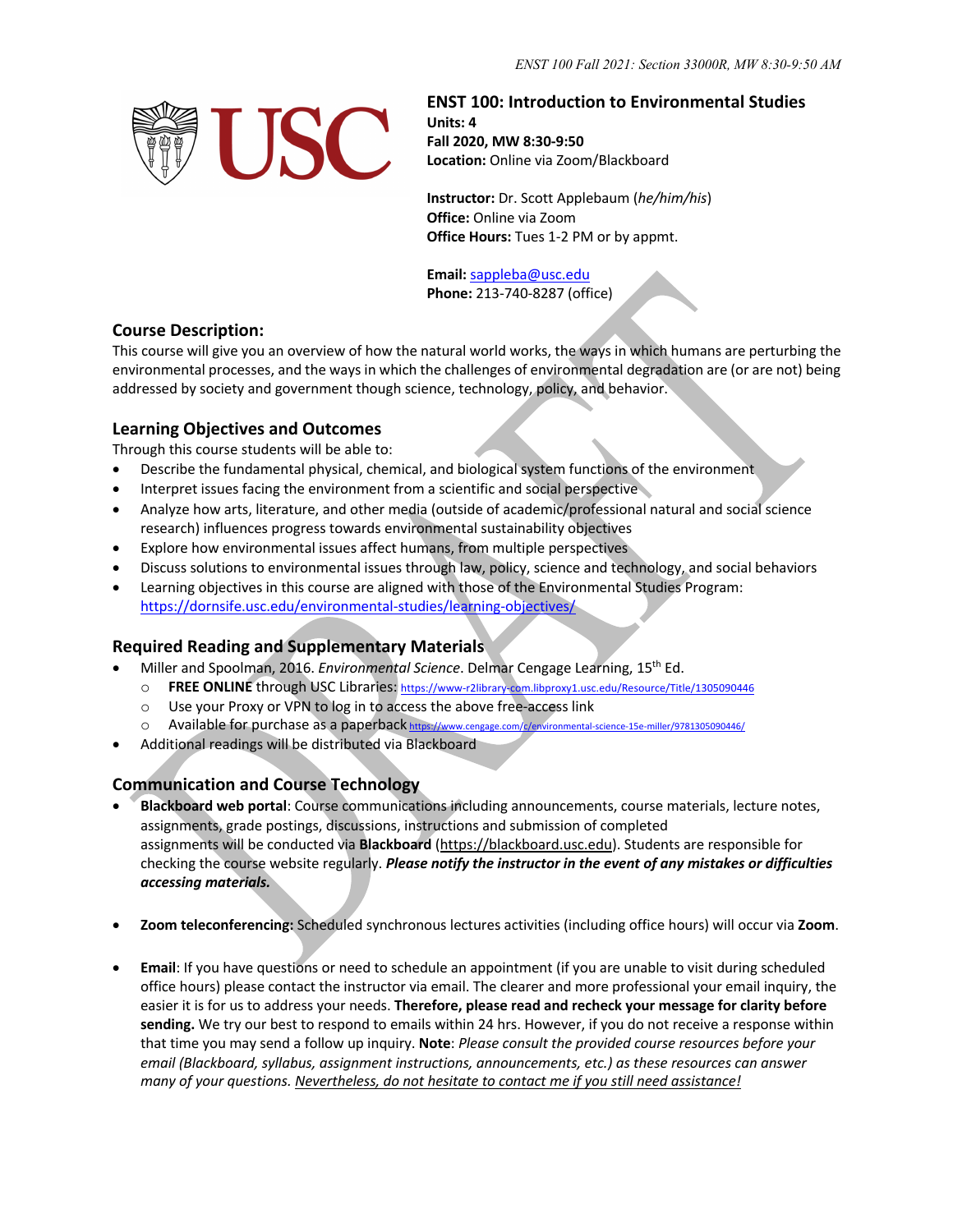

### **ENST 100: Introduction to Environmental Studies**

**Units: 4 Fall 2020, MW 8:30-9:50 Location:** Online via Zoom/Blackboard

**Instructor:** Dr. Scott Applebaum (*he/him/his*) **Office:** Online via Zoom **Office Hours:** Tues 1-2 PM or by appmt.

**Email:** sappleba@usc.edu **Phone:** 213-740-8287 (office)

## **Course Description:**

This course will give you an overview of how the natural world works, the ways in which humans are perturbing the environmental processes, and the ways in which the challenges of environmental degradation are (or are not) being addressed by society and government though science, technology, policy, and behavior.

# **Learning Objectives and Outcomes**

Through this course students will be able to:

- Describe the fundamental physical, chemical, and biological system functions of the environment
- Interpret issues facing the environment from a scientific and social perspective
- Analyze how arts, literature, and other media (outside of academic/professional natural and social science research) influences progress towards environmental sustainability objectives
- Explore how environmental issues affect humans, from multiple perspectives
- Discuss solutions to environmental issues through law, policy, science and technology, and social behaviors
- Learning objectives in this course are aligned with those of the Environmental Studies Program: https://dornsife.usc.edu/environmental-studies/learning-objectives/

# **Required Reading and Supplementary Materials**

- Miller and Spoolman, 2016. *Environmental Science*. Delmar Cengage Learning, 15th Ed.
	- o **FREE ONLINE** through USC Libraries: https://www-r2library-com.libproxy1.usc.edu/Resource/Title/1305090446
	- o Use your Proxy or VPN to log in to access the above free-access link
	- o Available for purchase as a paperback https://www.cengage.com/c/environmental-science-15e-miller/9781305090446/
- Additional readings will be distributed via Blackboard

# **Communication and Course Technology**

- **Blackboard web portal**: Course communications including announcements, course materials, lecture notes, assignments, grade postings, discussions, instructions and submission of completed assignments will be conducted via **Blackboard** (https://blackboard.usc.edu). Students are responsible for checking the course website regularly. *Please notify the instructor in the event of any mistakes or difficulties accessing materials.*
- **Zoom teleconferencing:** Scheduled synchronous lectures activities (including office hours) will occur via **Zoom**.
- **Email**: If you have questions or need to schedule an appointment (if you are unable to visit during scheduled office hours) please contact the instructor via email. The clearer and more professional your email inquiry, the easier it is for us to address your needs. **Therefore, please read and recheck your message for clarity before sending.** We try our best to respond to emails within 24 hrs. However, if you do not receive a response within that time you may send a follow up inquiry. **Note**: *Please consult the provided course resources before your email (Blackboard, syllabus, assignment instructions, announcements, etc.) as these resources can answer many of your questions. Nevertheless, do not hesitate to contact me if you still need assistance!*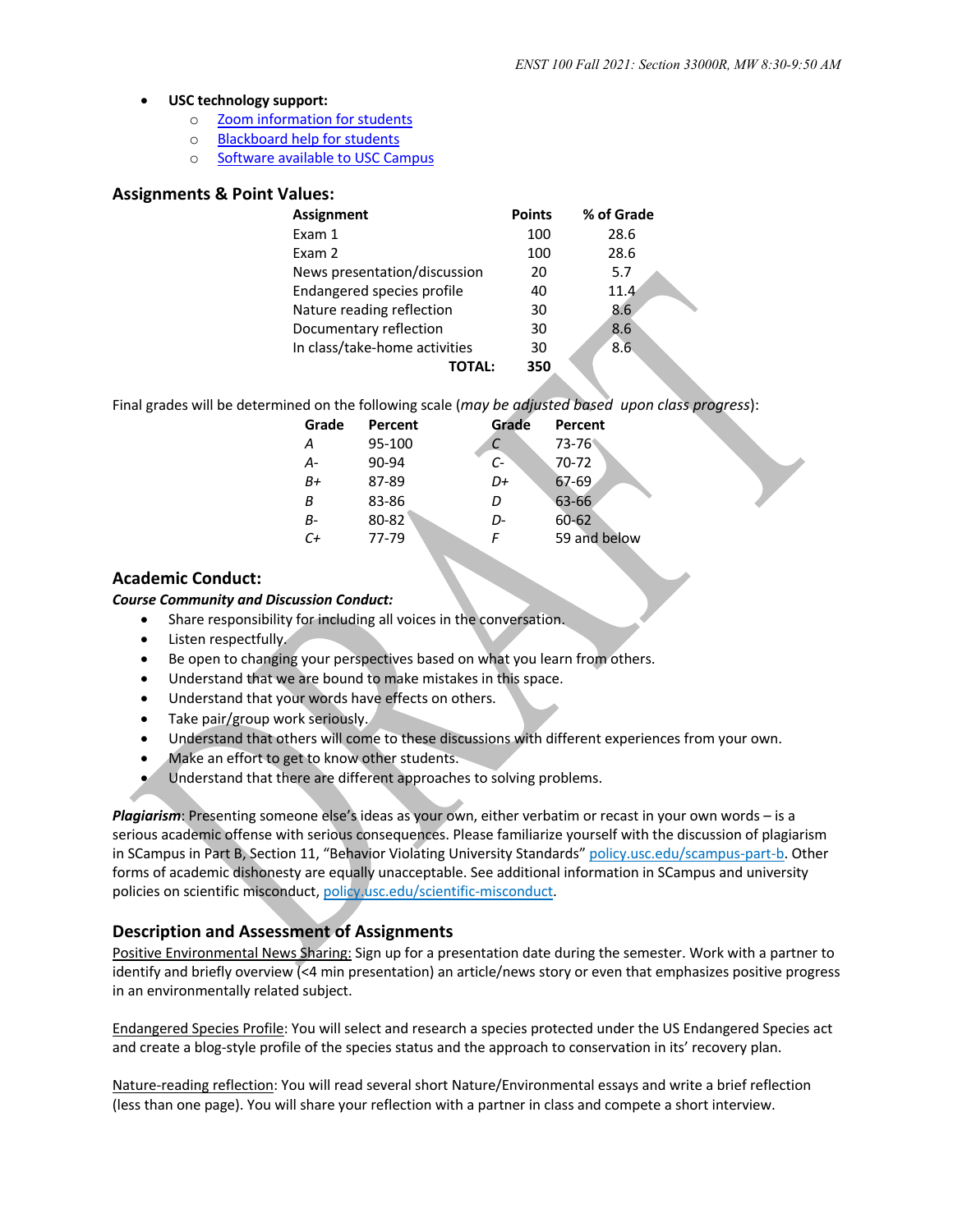#### • **USC technology support:**

- o Zoom information for students
- o Blackboard help for students
- o Software available to USC Campus

#### **Assignments & Point Values:**

| <b>Assignment</b>                 | <b>Points</b> | % of Grade       |
|-----------------------------------|---------------|------------------|
| Exam 1                            | 100           | 28.6             |
| Exam 2                            | 100           | 28.6             |
| News presentation/discussion      | 20            | 5.7              |
| <b>Endangered species profile</b> | 40            | 11.4             |
| Nature reading reflection         | 30            | 8.6              |
| Documentary reflection            | 30            | 8.6              |
| In class/take-home activities     | 30            | $8.\overline{6}$ |
|                                   | 350           |                  |

Final grades will be determined on the following scale (*may be adjusted based upon class progress*):

| Grade   | Percent | Grade | Percent      |
|---------|---------|-------|--------------|
| А       | 95-100  |       | 73-76        |
| А-      | 90-94   | $C-$  | 70-72        |
| B+      | 87-89   | D+    | 67-69        |
| B       | 83-86   | D     | 63-66        |
| $B-$    | 80-82   | D-    | $60 - 62$    |
| $C_{t}$ | 77-79   | F     | 59 and below |
|         |         |       |              |

### **Academic Conduct:**

*Course Community and Discussion Conduct:*

- Share responsibility for including all voices in the conversation.
- Listen respectfully.
- Be open to changing your perspectives based on what you learn from others.
- Understand that we are bound to make mistakes in this space.
- Understand that your words have effects on others.
- Take pair/group work seriously.
- Understand that others will come to these discussions with different experiences from your own.
- Make an effort to get to know other students.
- Understand that there are different approaches to solving problems.

*Plagiarism*: Presenting someone else's ideas as your own, either verbatim or recast in your own words – is a serious academic offense with serious consequences. Please familiarize yourself with the discussion of plagiarism in SCampus in Part B, Section 11, "Behavior Violating University Standards" policy.usc.edu/scampus-part-b. Other forms of academic dishonesty are equally unacceptable. See additional information in SCampus and university policies on scientific misconduct, policy.usc.edu/scientific-misconduct.

## **Description and Assessment of Assignments**

Positive Environmental News Sharing: Sign up for a presentation date during the semester. Work with a partner to identify and briefly overview (<4 min presentation) an article/news story or even that emphasizes positive progress in an environmentally related subject.

Endangered Species Profile: You will select and research a species protected under the US Endangered Species act and create a blog-style profile of the species status and the approach to conservation in its' recovery plan.

Nature-reading reflection: You will read several short Nature/Environmental essays and write a brief reflection (less than one page). You will share your reflection with a partner in class and compete a short interview.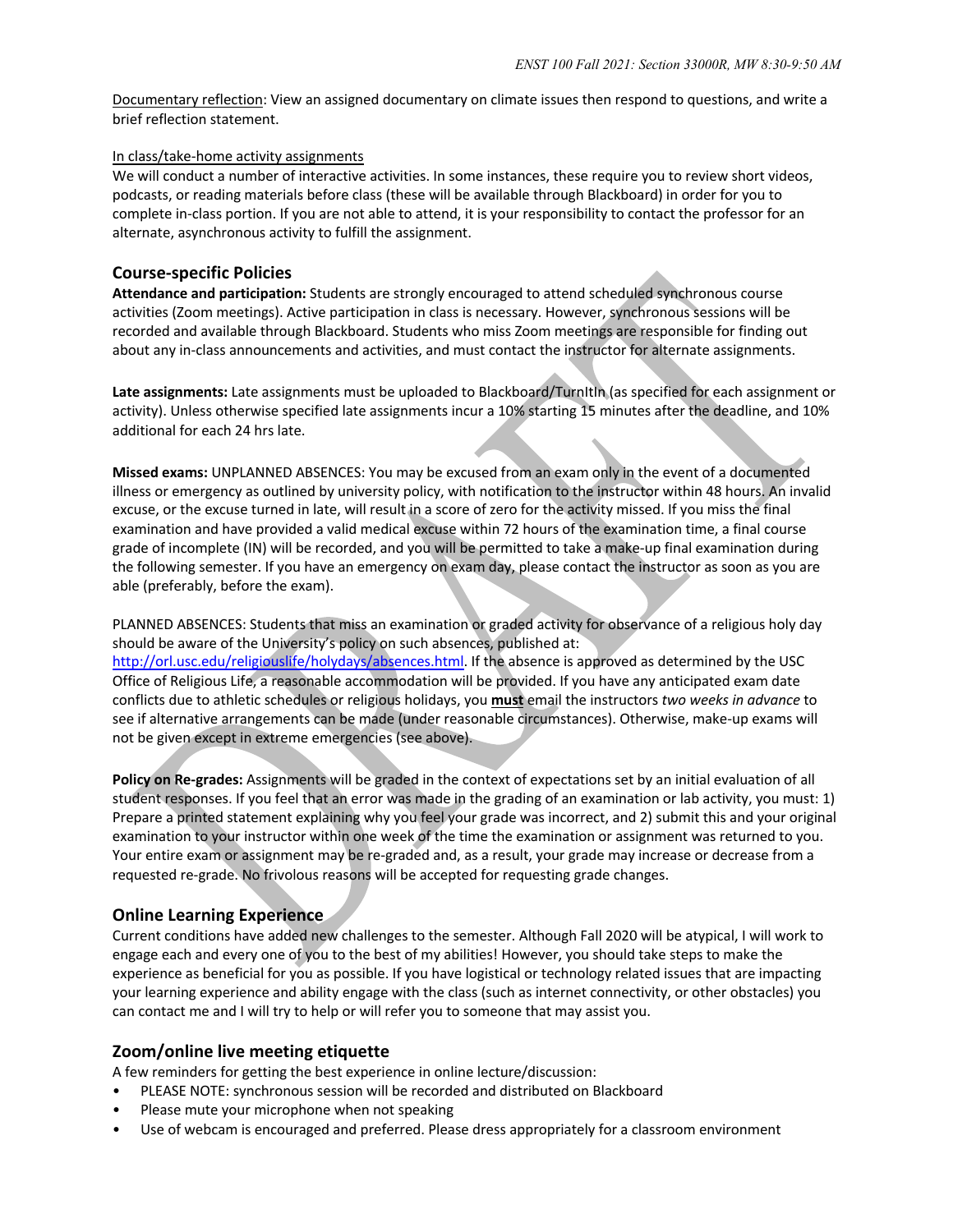Documentary reflection: View an assigned documentary on climate issues then respond to questions, and write a brief reflection statement.

#### In class/take-home activity assignments

We will conduct a number of interactive activities. In some instances, these require you to review short videos, podcasts, or reading materials before class (these will be available through Blackboard) in order for you to complete in-class portion. If you are not able to attend, it is your responsibility to contact the professor for an alternate, asynchronous activity to fulfill the assignment.

### **Course-specific Policies**

**Attendance and participation:** Students are strongly encouraged to attend scheduled synchronous course activities (Zoom meetings). Active participation in class is necessary. However, synchronous sessions will be recorded and available through Blackboard. Students who miss Zoom meetings are responsible for finding out about any in-class announcements and activities, and must contact the instructor for alternate assignments.

**Late assignments:** Late assignments must be uploaded to Blackboard/TurnItIn (as specified for each assignment or activity). Unless otherwise specified late assignments incur a 10% starting 15 minutes after the deadline, and 10% additional for each 24 hrs late.

**Missed exams:** UNPLANNED ABSENCES: You may be excused from an exam only in the event of a documented illness or emergency as outlined by university policy, with notification to the instructor within 48 hours. An invalid excuse, or the excuse turned in late, will result in a score of zero for the activity missed. If you miss the final examination and have provided a valid medical excuse within 72 hours of the examination time, a final course grade of incomplete (IN) will be recorded, and you will be permitted to take a make-up final examination during the following semester. If you have an emergency on exam day, please contact the instructor as soon as you are able (preferably, before the exam).

PLANNED ABSENCES: Students that miss an examination or graded activity for observance of a religious holy day should be aware of the University's policy on such absences, published at: http://orl.usc.edu/religiouslife/holydays/absences.html. If the absence is approved as determined by the USC Office of Religious Life, a reasonable accommodation will be provided. If you have any anticipated exam date conflicts due to athletic schedules or religious holidays, you **must** email the instructors *two weeks in advance* to see if alternative arrangements can be made (under reasonable circumstances). Otherwise, make-up exams will not be given except in extreme emergencies (see above).

**Policy on Re-grades:** Assignments will be graded in the context of expectations set by an initial evaluation of all student responses. If you feel that an error was made in the grading of an examination or lab activity, you must: 1) Prepare a printed statement explaining why you feel your grade was incorrect, and 2) submit this and your original examination to your instructor within one week of the time the examination or assignment was returned to you. Your entire exam or assignment may be re-graded and, as a result, your grade may increase or decrease from a requested re-grade. No frivolous reasons will be accepted for requesting grade changes.

## **Online Learning Experience**

Current conditions have added new challenges to the semester. Although Fall 2020 will be atypical, I will work to engage each and every one of you to the best of my abilities! However, you should take steps to make the experience as beneficial for you as possible. If you have logistical or technology related issues that are impacting your learning experience and ability engage with the class (such as internet connectivity, or other obstacles) you can contact me and I will try to help or will refer you to someone that may assist you.

#### **Zoom/online live meeting etiquette**

A few reminders for getting the best experience in online lecture/discussion:

- PLEASE NOTE: synchronous session will be recorded and distributed on Blackboard
- Please mute your microphone when not speaking
- Use of webcam is encouraged and preferred. Please dress appropriately for a classroom environment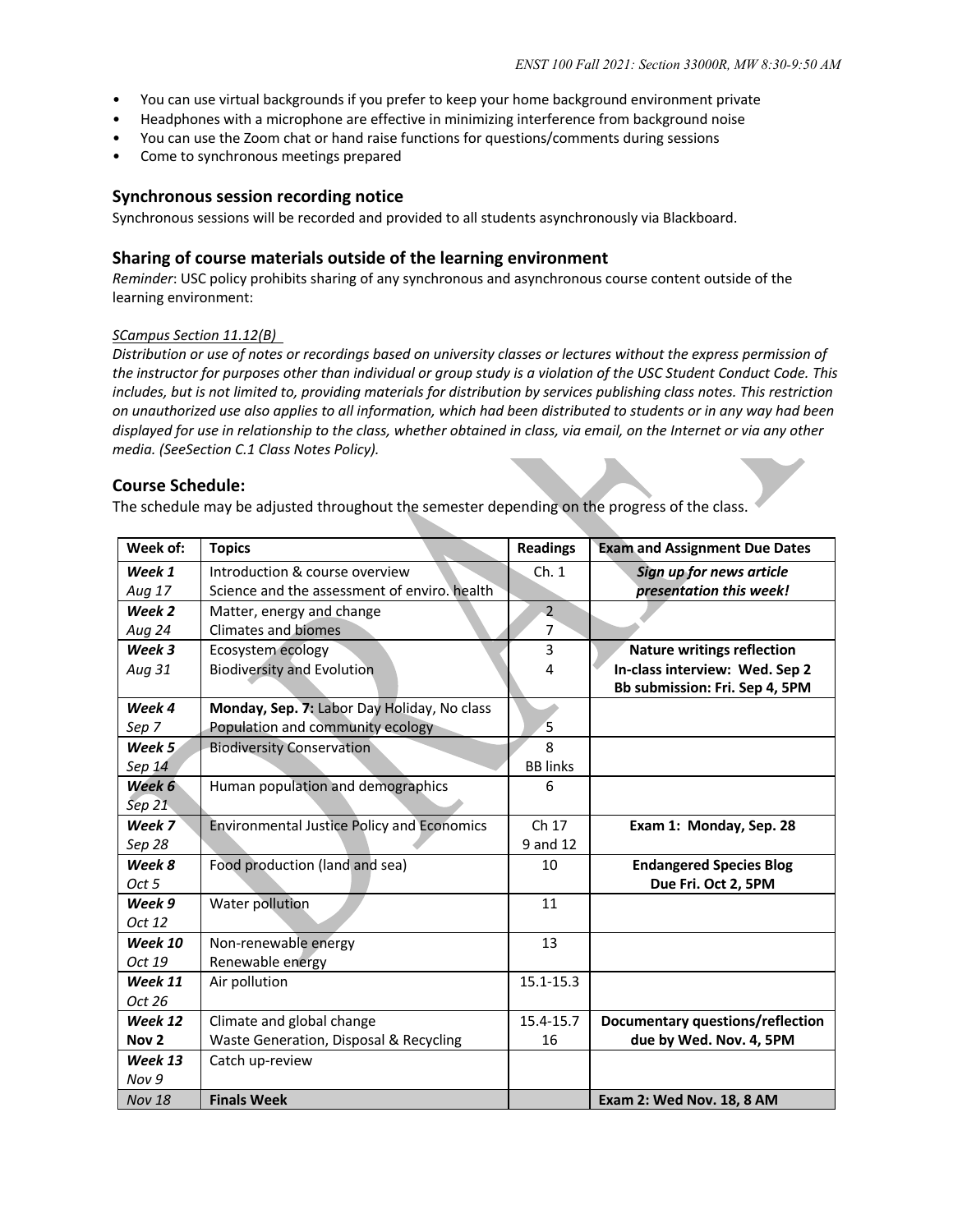- You can use virtual backgrounds if you prefer to keep your home background environment private
- Headphones with a microphone are effective in minimizing interference from background noise
- You can use the Zoom chat or hand raise functions for questions/comments during sessions
- Come to synchronous meetings prepared

#### **Synchronous session recording notice**

Synchronous sessions will be recorded and provided to all students asynchronously via Blackboard.

#### **Sharing of course materials outside of the learning environment**

*Reminder*: USC policy prohibits sharing of any synchronous and asynchronous course content outside of the learning environment:

#### *SCampus Section 11.12(B)*

Distribution or use of notes or recordings based on university classes or lectures without the express permission of *the instructor for purposes other than individual or group study is a violation of the USC Student Conduct Code. This includes, but is not limited to, providing materials for distribution by services publishing class notes. This restriction on unauthorized use also applies to all information, which had been distributed to students or in any way had been displayed for use in relationship to the class, whether obtained in class, via email, on the Internet or via any other media. (SeeSection C.1 Class Notes Policy).*

#### **Course Schedule:**

The schedule may be adjusted throughout the semester depending on the progress of the class.

| Week of:         | <b>Topics</b>                                     | <b>Readings</b> | <b>Exam and Assignment Due Dates</b> |
|------------------|---------------------------------------------------|-----------------|--------------------------------------|
| Week 1           | Introduction & course overview                    | Ch.1            | Sign up for news article             |
| Aug 17           | Science and the assessment of enviro, health      |                 | presentation this week!              |
| Week 2           | Matter, energy and change                         | $\overline{2}$  |                                      |
| Aug 24           | <b>Climates and biomes</b>                        | $\overline{7}$  |                                      |
| Week 3           | Ecosystem ecology                                 | 3               | <b>Nature writings reflection</b>    |
| Aug 31           | <b>Biodiversity and Evolution</b>                 | 4               | In-class interview: Wed. Sep 2       |
|                  |                                                   |                 | Bb submission: Fri. Sep 4, 5PM       |
| Week 4           | Monday, Sep. 7: Labor Day Holiday, No class       |                 |                                      |
| Sep 7            | Population and community ecology                  | 5               |                                      |
| Week 5           | <b>Biodiversity Conservation</b>                  | $\mathbf{8}$    |                                      |
| Sep 14           |                                                   | <b>BB</b> links |                                      |
| Week 6           | Human population and demographics                 | 6               |                                      |
| Sep $21$         |                                                   |                 |                                      |
| Week 7           | <b>Environmental Justice Policy and Economics</b> | Ch 17           | Exam 1: Monday, Sep. 28              |
| Sep 28           |                                                   | 9 and 12        |                                      |
| Week 8           | Food production (land and sea)                    | 10              | <b>Endangered Species Blog</b>       |
| Oct 5            |                                                   |                 | Due Fri. Oct 2, 5PM                  |
| Week 9           | Water pollution                                   | 11              |                                      |
| Oct 12           |                                                   |                 |                                      |
| Week 10          | Non-renewable energy                              | 13              |                                      |
| Oct 19           | Renewable energy                                  |                 |                                      |
| Week 11          | Air pollution                                     | 15.1-15.3       |                                      |
| Oct 26           |                                                   |                 |                                      |
| Week 12          | Climate and global change                         | 15.4-15.7       | Documentary questions/reflection     |
| Nov <sub>2</sub> | Waste Generation, Disposal & Recycling            | 16              | due by Wed. Nov. 4, 5PM              |
| Week 13          | Catch up-review                                   |                 |                                      |
| Nov 9            |                                                   |                 |                                      |
| <b>Nov 18</b>    | <b>Finals Week</b>                                |                 | <b>Exam 2: Wed Nov. 18, 8 AM</b>     |